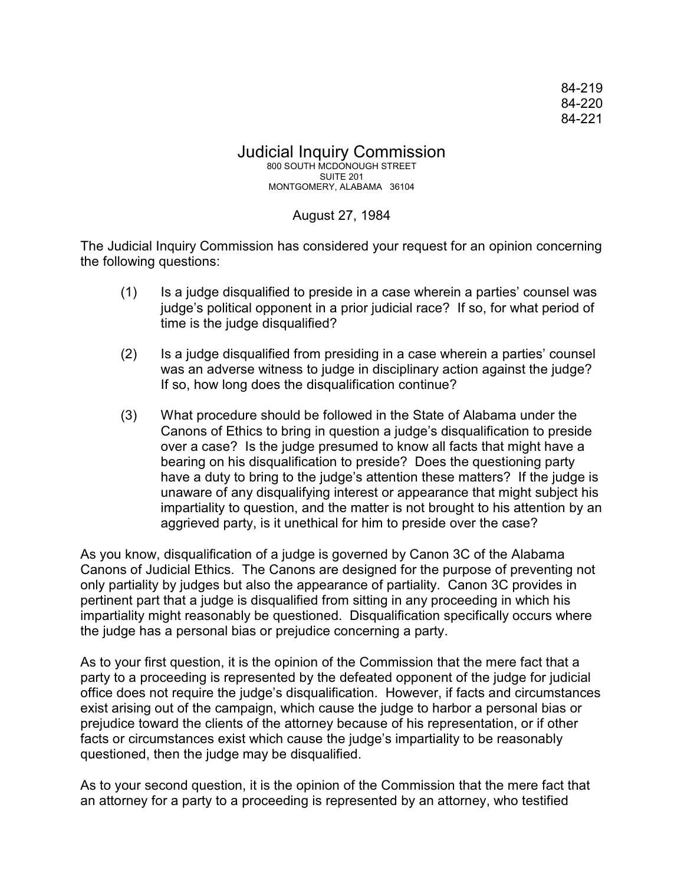84-219 84-220 84-221

## Judicial Inquiry Commission 800 SOUTH MCDONOUGH STREET SUITE 201 MONTGOMERY, ALABAMA 36104

## August 27, 1984

The Judicial Inquiry Commission has considered your request for an opinion concerning the following questions:

- (1) Is a judge disqualified to preside in a case wherein a parties' counsel was judge's political opponent in a prior judicial race? If so, for what period of time is the judge disqualified?
- (2) Is a judge disqualified from presiding in a case wherein a parties' counsel was an adverse witness to judge in disciplinary action against the judge? If so, how long does the disqualification continue?
- (3) What procedure should be followed in the State of Alabama under the Canons of Ethics to bring in question a judge's disqualification to preside over a case? Is the judge presumed to know all facts that might have a bearing on his disqualification to preside? Does the questioning party have a duty to bring to the judge's attention these matters? If the judge is unaware of any disqualifying interest or appearance that might subject his impartiality to question, and the matter is not brought to his attention by an aggrieved party, is it unethical for him to preside over the case?

As you know, disqualification of a judge is governed by Canon 3C of the Alabama Canons of Judicial Ethics. The Canons are designed for the purpose of preventing not only partiality by judges but also the appearance of partiality. Canon 3C provides in pertinent part that a judge is disqualified from sitting in any proceeding in which his impartiality might reasonably be questioned. Disqualification specifically occurs where the judge has a personal bias or prejudice concerning a party.

As to your first question, it is the opinion of the Commission that the mere fact that a party to a proceeding is represented by the defeated opponent of the judge for judicial office does not require the judge's disqualification. However, if facts and circumstances exist arising out of the campaign, which cause the judge to harbor a personal bias or prejudice toward the clients of the attorney because of his representation, or if other facts or circumstances exist which cause the judge's impartiality to be reasonably questioned, then the judge may be disqualified.

As to your second question, it is the opinion of the Commission that the mere fact that an attorney for a party to a proceeding is represented by an attorney, who testified